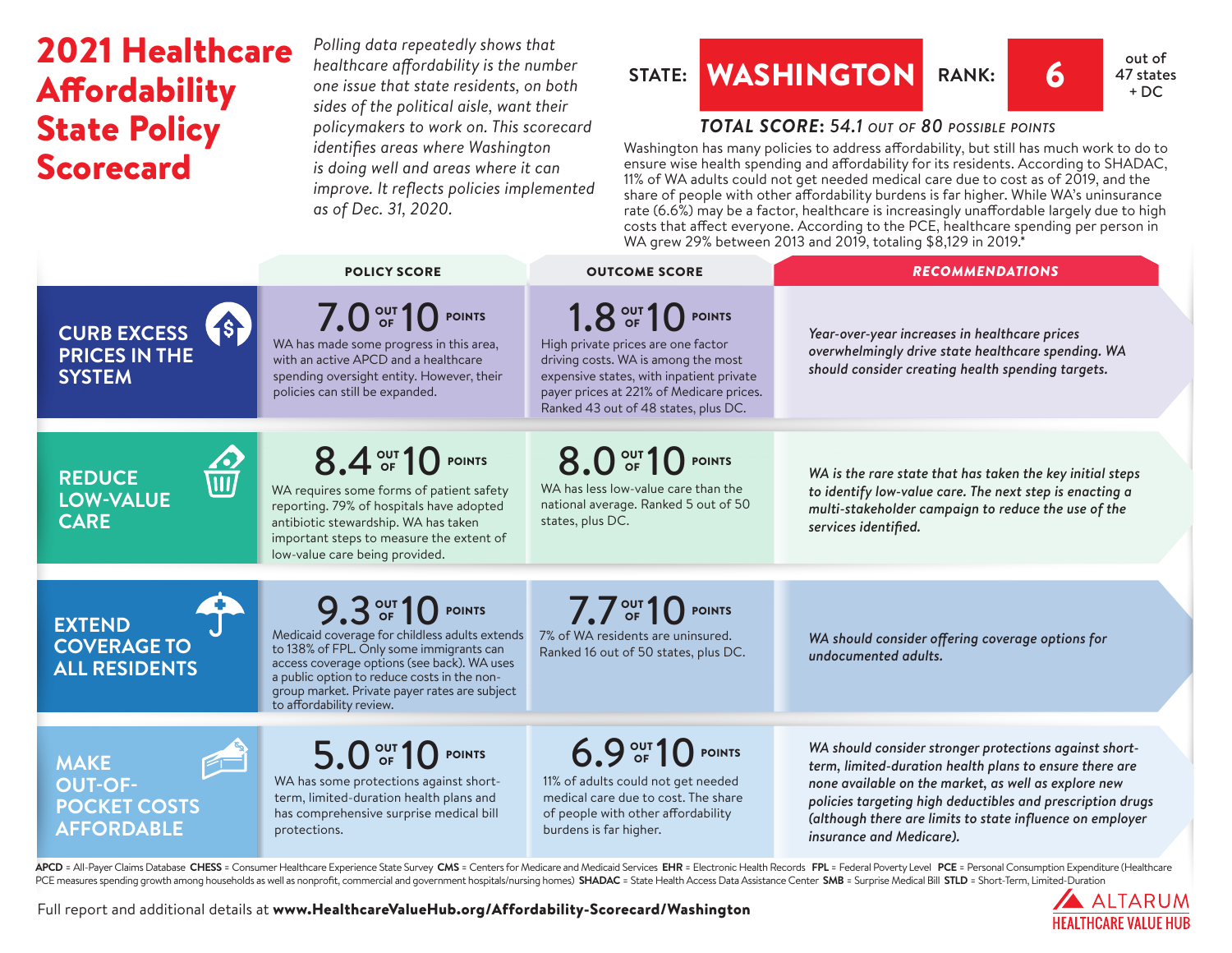## 2021 Healthcare **Affordability** State Policy Scorecard

*Polling data repeatedly shows that healthcare affordability is the number one issue that state residents, on both sides of the political aisle, want their policymakers to work on. This scorecard identifies areas where Washington is doing well and areas where it can improve. It reflects policies implemented as of Dec. 31, 2020.* 

## **STATE:** WASHINGTON RANK: 6 47 state



 $+ DC$ 

*TOTAL SCORE***:** *54.1 out of 80 possible points*

Washington has many policies to address affordability, but still has much work to do to ensure wise health spending and affordability for its residents. According to SHADAC, 11% of WA adults could not get needed medical care due to cost as of 2019, and the share of people with other affordability burdens is far higher. While WA's uninsurance rate (6.6%) may be a factor, healthcare is increasingly unaffordable largely due to high costs that affect everyone. According to the PCE, healthcare spending per person in WA grew 29% between 2013 and 2019, totaling \$8,129 in 2019.\*

|                                                                                               | <b>POLICY SCORE</b>                                                                                                                                                                                                                                                                       | <b>OUTCOME SCORE</b>                                                                                                                                                                                                           | <b>RECOMMENDATIONS</b>                                                                                                                                                                                                                                                                                                           |
|-----------------------------------------------------------------------------------------------|-------------------------------------------------------------------------------------------------------------------------------------------------------------------------------------------------------------------------------------------------------------------------------------------|--------------------------------------------------------------------------------------------------------------------------------------------------------------------------------------------------------------------------------|----------------------------------------------------------------------------------------------------------------------------------------------------------------------------------------------------------------------------------------------------------------------------------------------------------------------------------|
| $\left(5\right)$<br><b>CURB EXCESS</b><br><b>PRICES IN THE</b><br><b>SYSTEM</b>               | 7.0 OF 10 POINTS<br>WA has made some progress in this area,<br>with an active APCD and a healthcare<br>spending oversight entity. However, their<br>policies can still be expanded.                                                                                                       | 1.8 OUT 10 POINTS<br>High private prices are one factor<br>driving costs. WA is among the most<br>expensive states, with inpatient private<br>payer prices at 221% of Medicare prices.<br>Ranked 43 out of 48 states, plus DC. | Year-over-year increases in healthcare prices<br>overwhelmingly drive state healthcare spending. WA<br>should consider creating health spending targets.                                                                                                                                                                         |
| $\overline{\overline{\text{III}}\text{}}$<br><b>REDUCE</b><br><b>LOW-VALUE</b><br><b>CARE</b> | 8.4 OUT 10 POINTS<br>WA requires some forms of patient safety<br>reporting. 79% of hospitals have adopted<br>antibiotic stewardship. WA has taken<br>important steps to measure the extent of<br>low-value care being provided.                                                           | 8.0 OF 10 POINTS<br>WA has less low-value care than the<br>national average. Ranked 5 out of 50<br>states, plus DC.                                                                                                            | WA is the rare state that has taken the key initial steps<br>to identify low-value care. The next step is enacting a<br>multi-stakeholder campaign to reduce the use of the<br>services identified.                                                                                                                              |
| <b>EXTEND</b><br><b>COVERAGE TO</b><br><b>ALL RESIDENTS</b>                                   | 9.3 OF 10 POINTS<br>Medicaid coverage for childless adults extends<br>to 138% of FPL. Only some immigrants can<br>access coverage options (see back). WA uses<br>a public option to reduce costs in the non-<br>group market. Private payer rates are subject<br>to affordability review. | $7.7out$ 10 POINTS<br>7% of WA residents are uninsured.<br>Ranked 16 out of 50 states, plus DC.                                                                                                                                | WA should consider offering coverage options for<br>undocumented adults.                                                                                                                                                                                                                                                         |
| <b>MAKE</b><br><b>OUT-OF-</b><br><b>POCKET COSTS</b><br><b>AFFORDABLE</b>                     | 5.0 OF 10 POINTS<br>WA has some protections against short-<br>term, limited-duration health plans and<br>has comprehensive surprise medical bill<br>protections.                                                                                                                          | 6.9 OUT 10 POINTS<br>11% of adults could not get needed<br>medical care due to cost. The share<br>of people with other affordability<br>burdens is far higher.                                                                 | WA should consider stronger protections against short-<br>term, limited-duration health plans to ensure there are<br>none available on the market, as well as explore new<br>policies targeting high deductibles and prescription drugs<br>(although there are limits to state influence on employer<br>insurance and Medicare). |

APCD = All-Payer Claims Database CHESS = Consumer Healthcare Experience State Survey CMS = Centers for Medicare and Medicaid Services EHR = Electronic Health Records FPL = Federal Poverty Level PCE = Personal Consumption E PCE measures spending growth among households as well as nonprofit, commercial and government hospitals/nursing homes) SHADAC = State Health Access Data Assistance Center SMB = Surprise Medical Bill STLD = Short-Term, Limi



Full report and additional details at [www.HealthcareValueHub.org/Affordability-Scorecard/W](https://www.HealthcareValueHub.org/Affordability-Scorecard/Washington)ashington